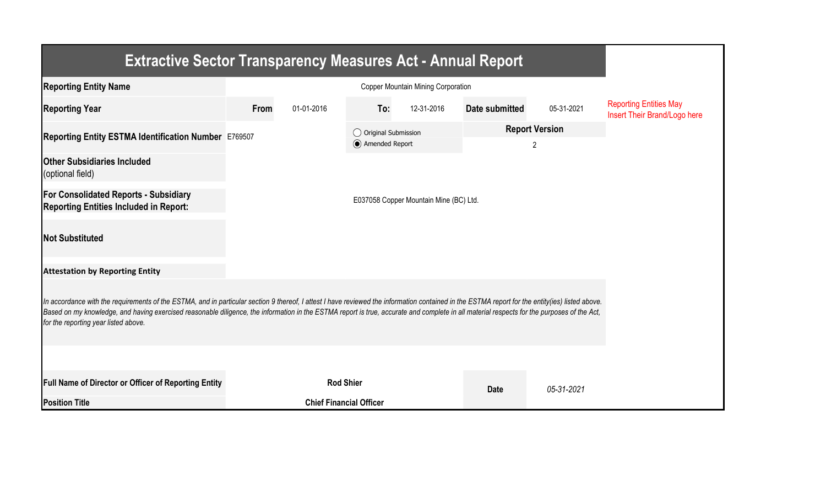| <b>Extractive Sector Transparency Measures Act - Annual Report</b>                                                                                                                                                                                                                                                                                                                                                                    |                                        |                                |                                         |            |                            |            |                                                               |  |  |  |  |
|---------------------------------------------------------------------------------------------------------------------------------------------------------------------------------------------------------------------------------------------------------------------------------------------------------------------------------------------------------------------------------------------------------------------------------------|----------------------------------------|--------------------------------|-----------------------------------------|------------|----------------------------|------------|---------------------------------------------------------------|--|--|--|--|
| <b>Reporting Entity Name</b>                                                                                                                                                                                                                                                                                                                                                                                                          |                                        |                                |                                         |            |                            |            |                                                               |  |  |  |  |
| <b>Reporting Year</b>                                                                                                                                                                                                                                                                                                                                                                                                                 | From                                   | 01-01-2016                     | To:                                     | 12-31-2016 | Date submitted             | 05-31-2021 | <b>Reporting Entities May</b><br>Insert Their Brand/Logo here |  |  |  |  |
| Reporting Entity ESTMA Identification Number E769507                                                                                                                                                                                                                                                                                                                                                                                  |                                        |                                | ◯ Original Submission<br>Amended Report |            | <b>Report Version</b><br>2 |            |                                                               |  |  |  |  |
| <b>Other Subsidiaries Included</b><br>(optional field)                                                                                                                                                                                                                                                                                                                                                                                |                                        |                                |                                         |            |                            |            |                                                               |  |  |  |  |
| <b>For Consolidated Reports - Subsidiary</b><br><b>Reporting Entities Included in Report:</b>                                                                                                                                                                                                                                                                                                                                         | E037058 Copper Mountain Mine (BC) Ltd. |                                |                                         |            |                            |            |                                                               |  |  |  |  |
| <b>Not Substituted</b>                                                                                                                                                                                                                                                                                                                                                                                                                |                                        |                                |                                         |            |                            |            |                                                               |  |  |  |  |
| <b>Attestation by Reporting Entity</b>                                                                                                                                                                                                                                                                                                                                                                                                |                                        |                                |                                         |            |                            |            |                                                               |  |  |  |  |
| In accordance with the requirements of the ESTMA, and in particular section 9 thereof, I attest I have reviewed the information contained in the ESTMA report for the entity(ies) listed above.<br>Based on my knowledge, and having exercised reasonable diligence, the information in the ESTMA report is true, accurate and complete in all material respects for the purposes of the Act,<br>for the reporting year listed above. |                                        |                                |                                         |            |                            |            |                                                               |  |  |  |  |
|                                                                                                                                                                                                                                                                                                                                                                                                                                       |                                        |                                |                                         |            |                            |            |                                                               |  |  |  |  |
| <b>Full Name of Director or Officer of Reporting Entity</b>                                                                                                                                                                                                                                                                                                                                                                           |                                        | <b>Rod Shier</b>               |                                         |            | <b>Date</b>                | 05-31-2021 |                                                               |  |  |  |  |
| <b>Position Title</b>                                                                                                                                                                                                                                                                                                                                                                                                                 |                                        | <b>Chief Financial Officer</b> |                                         |            |                            |            |                                                               |  |  |  |  |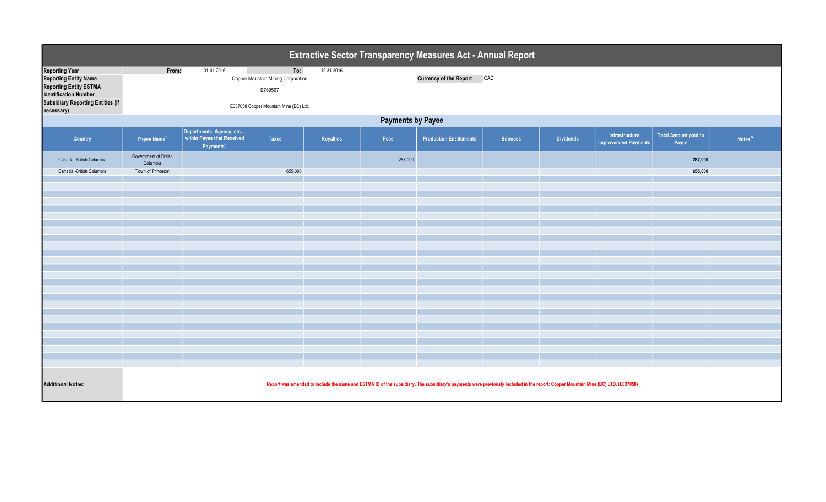| Extractive Sector Transparency Measures Act - Annual Report                                                                                                                      |                                                                                                                                                                                   |                                                                                 |                                                                                                |            |         |                                   |                |                  |                                               |                                      |                     |  |
|----------------------------------------------------------------------------------------------------------------------------------------------------------------------------------|-----------------------------------------------------------------------------------------------------------------------------------------------------------------------------------|---------------------------------------------------------------------------------|------------------------------------------------------------------------------------------------|------------|---------|-----------------------------------|----------------|------------------|-----------------------------------------------|--------------------------------------|---------------------|--|
| <b>Reporting Year</b><br><b>Reporting Entity Name</b><br><b>Reporting Entity ESTMA</b><br><b>Identification Number</b><br><b>Subsidiary Reporting Entities (if</b><br>necessary) | From:                                                                                                                                                                             | 01-01-2016                                                                      | To:<br>Copper Mountain Mining Corporation<br>E769507<br>E037058 Copper Mountain Mine (BC) Ltd. | 12-31-2016 |         | <b>Currency of the Report CAD</b> |                |                  |                                               |                                      |                     |  |
|                                                                                                                                                                                  | <b>Payments by Payee</b>                                                                                                                                                          |                                                                                 |                                                                                                |            |         |                                   |                |                  |                                               |                                      |                     |  |
| Country                                                                                                                                                                          | Payee Name <sup>1</sup>                                                                                                                                                           | Departments, Agency, etc<br>within Payee that Received<br>Payments <sup>2</sup> | <b>Taxes</b>                                                                                   | Royalties  | Fees    | <b>Production Entitlements</b>    | <b>Bonuses</b> | <b>Dividends</b> | Infrastructure<br><b>Improvement Payments</b> | <b>Total Amount paid to</b><br>Payee | Notes <sup>34</sup> |  |
| Canada - British Columbia                                                                                                                                                        | Government of British<br>Columbia                                                                                                                                                 |                                                                                 |                                                                                                |            | 287,000 |                                   |                |                  |                                               | 287,000                              |                     |  |
| Canada - British Columbia                                                                                                                                                        | Town of Princeton                                                                                                                                                                 |                                                                                 | 655,000                                                                                        |            |         |                                   |                |                  |                                               | 655,000                              |                     |  |
|                                                                                                                                                                                  |                                                                                                                                                                                   |                                                                                 |                                                                                                |            |         |                                   |                |                  |                                               |                                      |                     |  |
|                                                                                                                                                                                  |                                                                                                                                                                                   |                                                                                 |                                                                                                |            |         |                                   |                |                  |                                               |                                      |                     |  |
|                                                                                                                                                                                  |                                                                                                                                                                                   |                                                                                 |                                                                                                |            |         |                                   |                |                  |                                               |                                      |                     |  |
|                                                                                                                                                                                  |                                                                                                                                                                                   |                                                                                 |                                                                                                |            |         |                                   |                |                  |                                               |                                      |                     |  |
|                                                                                                                                                                                  |                                                                                                                                                                                   |                                                                                 |                                                                                                |            |         |                                   |                |                  |                                               |                                      |                     |  |
|                                                                                                                                                                                  |                                                                                                                                                                                   |                                                                                 |                                                                                                |            |         |                                   |                |                  |                                               |                                      |                     |  |
|                                                                                                                                                                                  |                                                                                                                                                                                   |                                                                                 |                                                                                                |            |         |                                   |                |                  |                                               |                                      |                     |  |
|                                                                                                                                                                                  |                                                                                                                                                                                   |                                                                                 |                                                                                                |            |         |                                   |                |                  |                                               |                                      |                     |  |
|                                                                                                                                                                                  |                                                                                                                                                                                   |                                                                                 |                                                                                                |            |         |                                   |                |                  |                                               |                                      |                     |  |
|                                                                                                                                                                                  |                                                                                                                                                                                   |                                                                                 |                                                                                                |            |         |                                   |                |                  |                                               |                                      |                     |  |
|                                                                                                                                                                                  |                                                                                                                                                                                   |                                                                                 |                                                                                                |            |         |                                   |                |                  |                                               |                                      |                     |  |
|                                                                                                                                                                                  |                                                                                                                                                                                   |                                                                                 |                                                                                                |            |         |                                   |                |                  |                                               |                                      |                     |  |
|                                                                                                                                                                                  |                                                                                                                                                                                   |                                                                                 |                                                                                                |            |         |                                   |                |                  |                                               |                                      |                     |  |
|                                                                                                                                                                                  |                                                                                                                                                                                   |                                                                                 |                                                                                                |            |         |                                   |                |                  |                                               |                                      |                     |  |
|                                                                                                                                                                                  |                                                                                                                                                                                   |                                                                                 |                                                                                                |            |         |                                   |                |                  |                                               |                                      |                     |  |
| <b>Additional Notes:</b>                                                                                                                                                         | Report was amended to include the name and ESTMA ID of the subsidiary. The subsidiary's payments were previously included in the report: Copper Mountain Mine (BC) LTD. (E037058) |                                                                                 |                                                                                                |            |         |                                   |                |                  |                                               |                                      |                     |  |